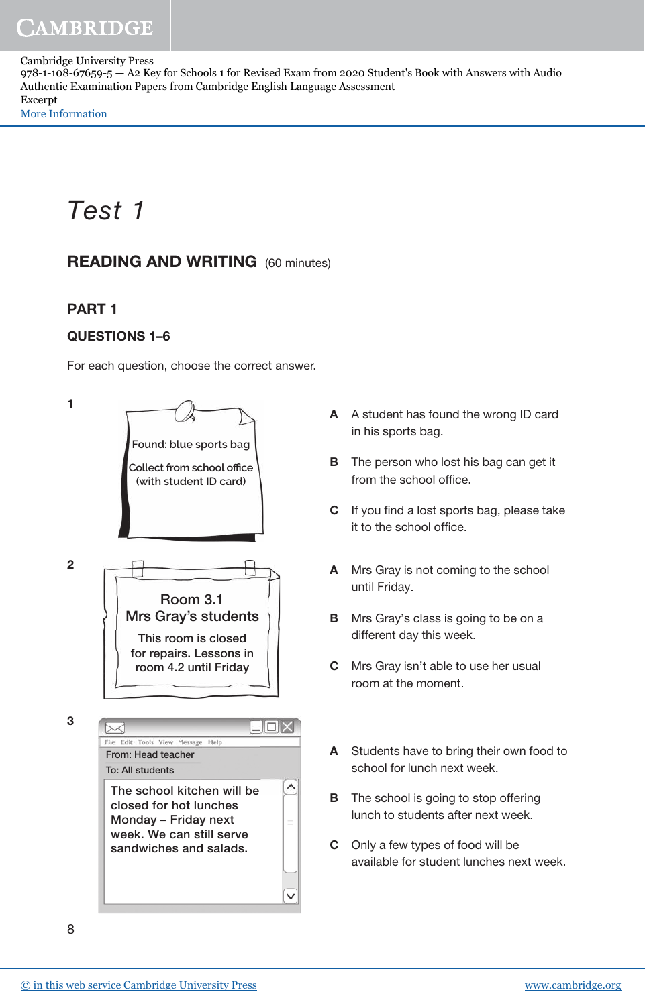Cambridge University Press 978-1-108-67659-5 — A2 Key for Schools 1 for Revised Exam from 2020 Student's Book with Answers with Audio Authentic Examination Papers from Cambridge English Language Assessment Excerpt [More Information](www.cambridge.org/9781108676595)

# Test 1

# READING AND WRITING (60 minutes)

## PART 1

#### QUESTIONS 1–6

For each question, choose the correct answer.

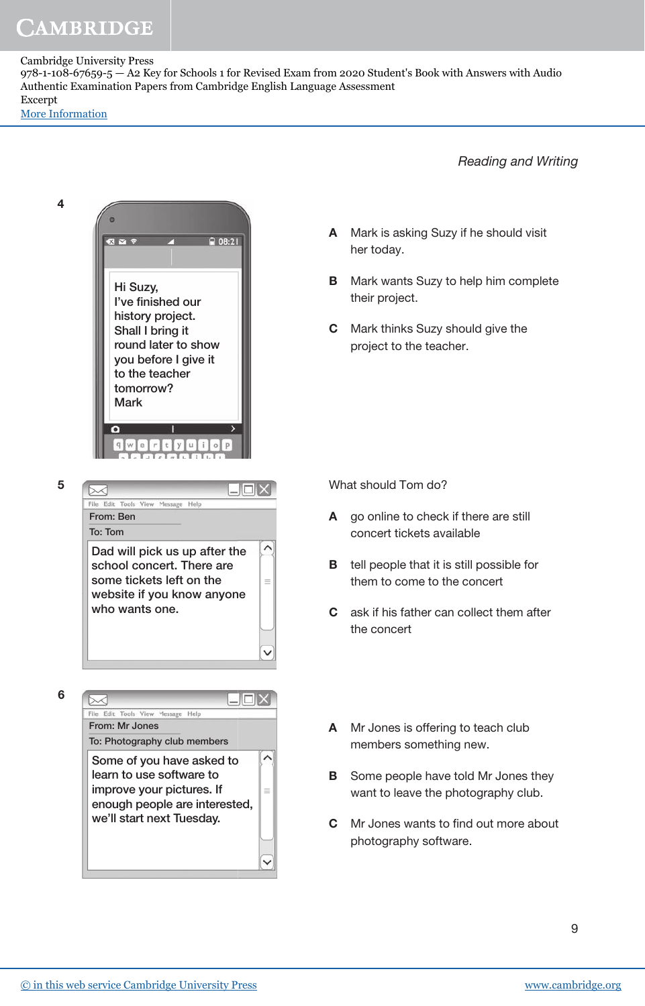#### Cambridge University Press

978-1-108-67659-5 — A2 Key for Schools 1 for Revised Exam from 2020 Student's Book with Answers with Audio Authentic Examination Papers from Cambridge English Language Assessment Excerpt

[More Information](www.cambridge.org/9781108676595)

4

5

6

Reading and Writing

 $\epsilon$ A Mark is asking Suzy if he should visit 内容の 日 08:21 her today. **B** Mark wants Suzy to help him complete Hi Suzy, their project. I've finished our history project. C Mark thinks Suzy should give the Shall I bring it round later to show project to the teacher. you before I give it to the teacher tomorrow? Mark $u$  i  $q$  w  $\circ$ P What should Tom do?  $\blacksquare$  $\blacksquare$  $\times$ ⋝⋌ File Edit Tools View Message Help From: Ben A go online to check if there are still To: Tom concert tickets available  $\widehat{\phantom{1}}$ Dad will pick us up after the **B** tell people that it is still possible for school concert. There are some tickets left on the  $\equiv$ them to come to the concert website if you know anyone who wants one. C ask if his father can collect them after the concert  $\checkmark$  $\blacksquare$  $\sim$ Edie **Tools** View Message He From: Mr Jones A Mr Jones is offering to teach club To: Photography club members members something new.  $\wedge$ Some of you have asked to learn to use software to **B** Some people have told Mr Jones they improve your pictures. If  $\equiv$ want to leave the photography club. enough people are interested, we'll start next Tuesday. **C** Mr Jones wants to find out more about

photography software.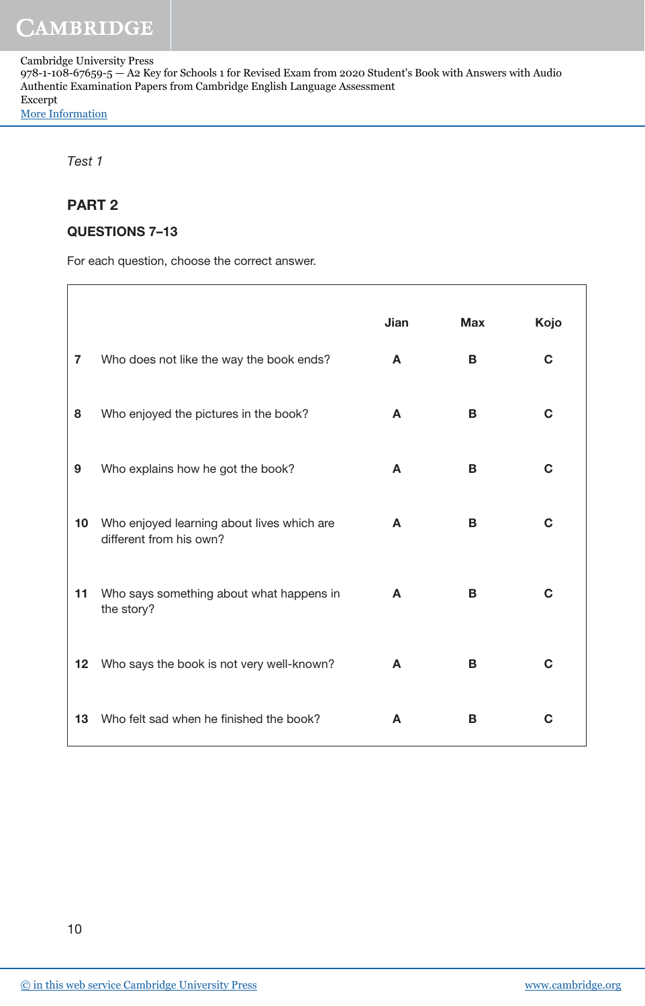Cambridge University Press

978-1-108-67659-5 — A2 Key for Schools 1 for Revised Exam from 2020 Student's Book with Answers with Audio Authentic Examination Papers from Cambridge English Language Assessment Excerpt [More Information](www.cambridge.org/9781108676595)

Test 1

#### PART 2

#### QUESTIONS 7–13

For each question, choose the correct answer.

|    |                                                                       | Jian | <b>Max</b> | Kojo |
|----|-----------------------------------------------------------------------|------|------------|------|
| 7  | Who does not like the way the book ends?                              | A    | В          | C    |
| 8  | Who enjoyed the pictures in the book?                                 | A    | B          | C    |
| 9  | Who explains how he got the book?                                     | A    | B          | C    |
| 10 | Who enjoyed learning about lives which are<br>different from his own? | A    | B          | C    |
| 11 | Who says something about what happens in<br>the story?                | A    | B          | C    |
| 12 | Who says the book is not very well-known?                             | A    | B          | C    |
| 13 | Who felt sad when he finished the book?                               | A    | B          | С    |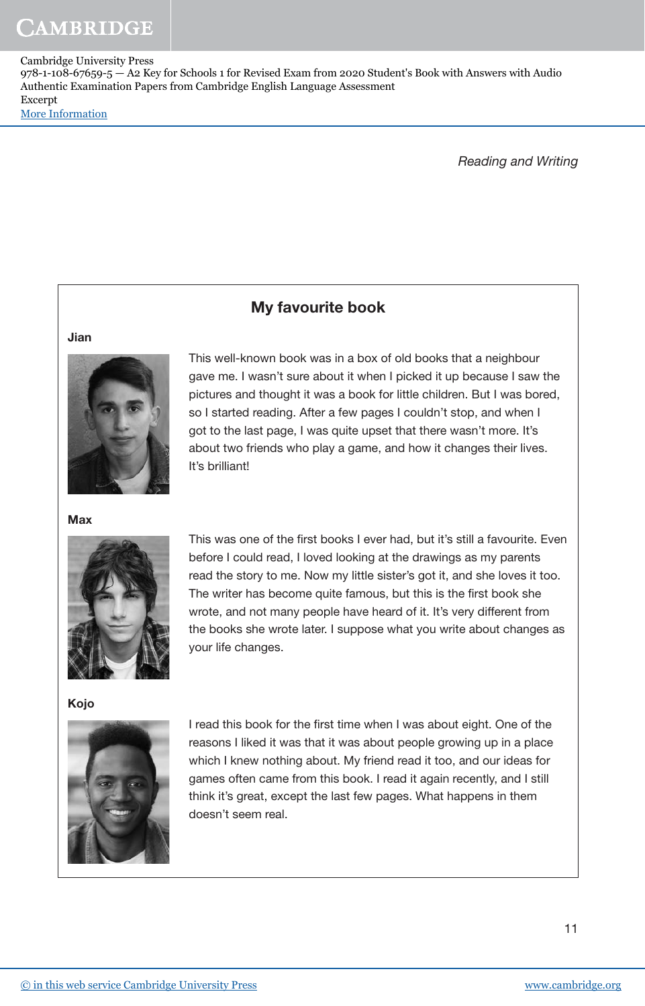Cambridge University Press 978-1-108-67659-5 — A2 Key for Schools 1 for Revised Exam from 2020 Student's Book with Answers with Audio Authentic Examination Papers from Cambridge English Language Assessment Excerpt [More Information](www.cambridge.org/9781108676595)

My favourite book

Reading and Writing

#### Jian



This well-known book was in a box of old books that a neighbour gave me. I wasn't sure about it when I picked it up because I saw the pictures and thought it was a book for little children. But I was bored, so I started reading. After a few pages I couldn't stop, and when I got to the last page, I was quite upset that there wasn't more. It's about two friends who play a game, and how it changes their lives. It's brilliant!

This was one of the first books I ever had, but it's still a favourite. Even before I could read, I loved looking at the drawings as my parents read the story to me. Now my little sister's got it, and she loves it too. The writer has become quite famous, but this is the first book she wrote, and not many people have heard of it. It's very different from the books she wrote later. I suppose what you write about changes as

**Max** 



your life changes.

Kojo



I read this book for the first time when I was about eight. One of the reasons I liked it was that it was about people growing up in a place which I knew nothing about. My friend read it too, and our ideas for games often came from this book. I read it again recently, and I still think it's great, except the last few pages. What happens in them doesn't seem real.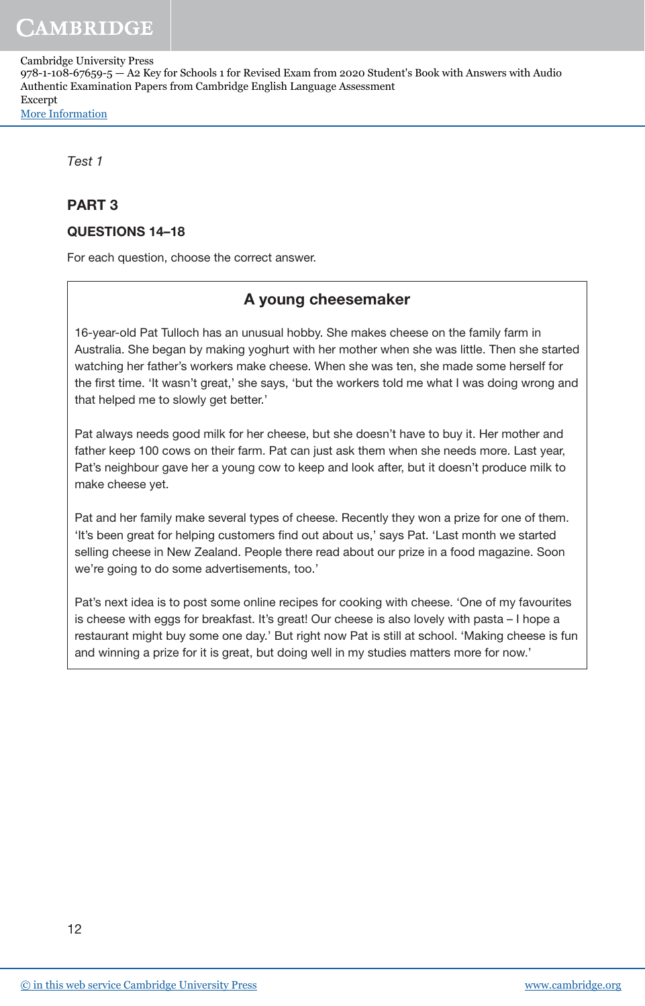Cambridge University Press

978-1-108-67659-5 — A2 Key for Schools 1 for Revised Exam from 2020 Student's Book with Answers with Audio Authentic Examination Papers from Cambridge English Language Assessment Excerpt [More Information](www.cambridge.org/9781108676595)

Test 1

#### PART 3

#### QUESTIONS 14–18

For each question, choose the correct answer.

## A young cheesemaker

16-year-old Pat Tulloch has an unusual hobby. She makes cheese on the family farm in Australia. She began by making yoghurt with her mother when she was little. Then she started watching her father's workers make cheese. When she was ten, she made some herself for the first time. 'It wasn't great,' she says, 'but the workers told me what I was doing wrong and that helped me to slowly get better.'

Pat always needs good milk for her cheese, but she doesn't have to buy it. Her mother and father keep 100 cows on their farm. Pat can just ask them when she needs more. Last year, Pat's neighbour gave her a young cow to keep and look after, but it doesn't produce milk to make cheese yet.

Pat and her family make several types of cheese. Recently they won a prize for one of them. 'It's been great for helping customers find out about us,' says Pat. 'Last month we started selling cheese in New Zealand. People there read about our prize in a food magazine. Soon we're going to do some advertisements, too.'

Pat's next idea is to post some online recipes for cooking with cheese. 'One of my favourites is cheese with eggs for breakfast. It's great! Our cheese is also lovely with pasta – I hope a restaurant might buy some one day.' But right now Pat is still at school. 'Making cheese is fun and winning a prize for it is great, but doing well in my studies matters more for now.'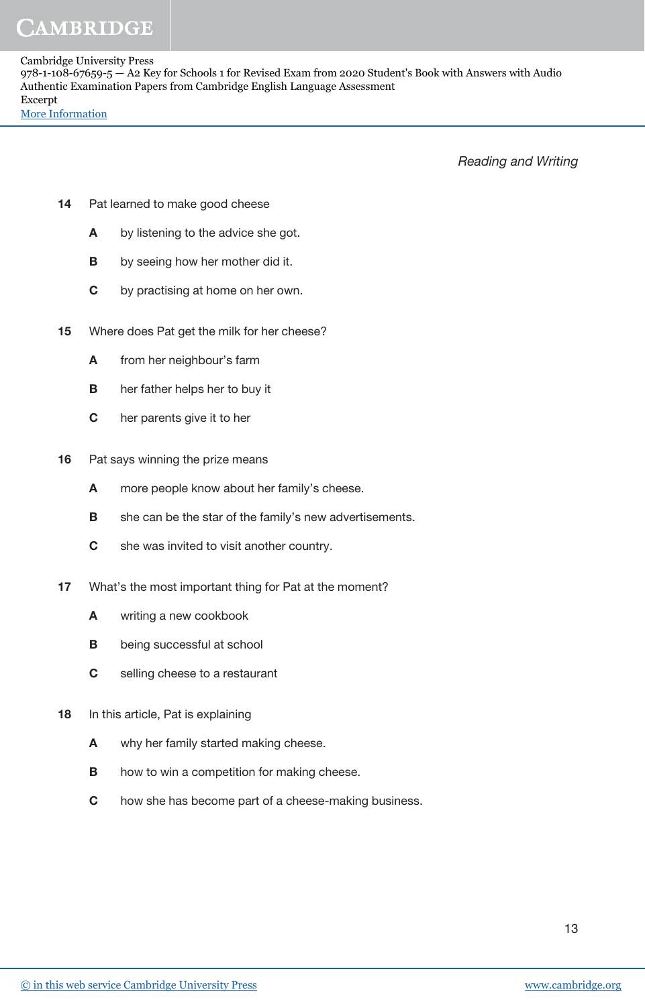Cambridge University Press 978-1-108-67659-5 — A2 Key for Schools 1 for Revised Exam from 2020 Student's Book with Answers with Audio Authentic Examination Papers from Cambridge English Language Assessment Excerpt [More Information](www.cambridge.org/9781108676595)

Reading and Writing

- 14 Pat learned to make good cheese
	- A by listening to the advice she got.
	- **B** by seeing how her mother did it.
	- C by practising at home on her own.
- 15 Where does Pat get the milk for her cheese?
	- A from her neighbour's farm
	- B her father helps her to buy it
	- C her parents give it to her
- 16 Pat says winning the prize means
	- A more people know about her family's cheese.
	- **B** she can be the star of the family's new advertisements.
	- **C** she was invited to visit another country.
- 17 What's the most important thing for Pat at the moment?
	- A writing a new cookbook
	- **B** being successful at school
	- C selling cheese to a restaurant
- 18 In this article, Pat is explaining
	- A why her family started making cheese.
	- **B** how to win a competition for making cheese.
	- C how she has become part of a cheese-making business.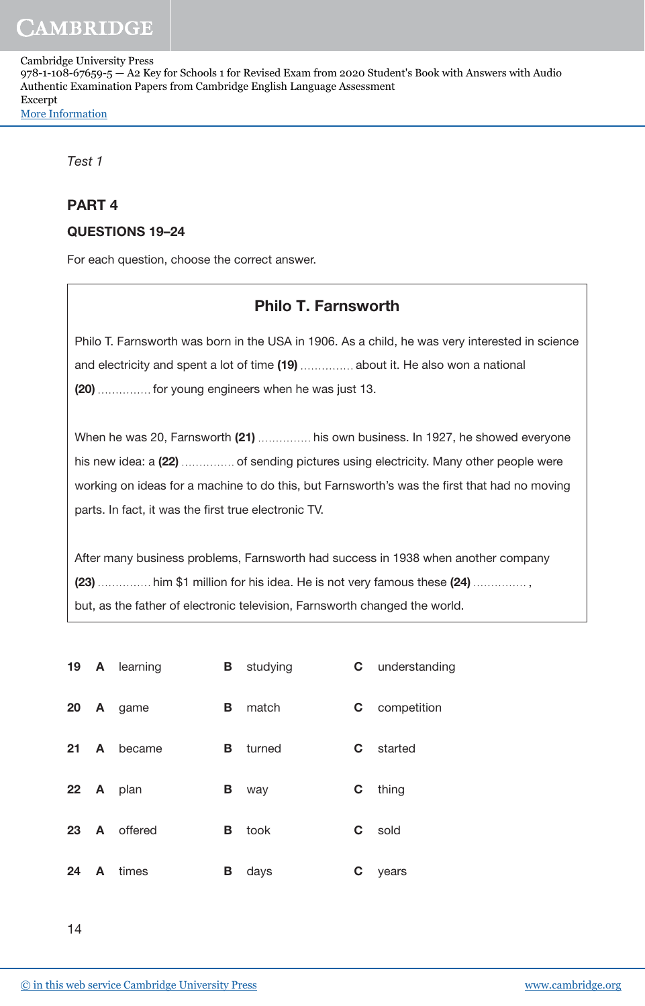Cambridge University Press 978-1-108-67659-5 — A2 Key for Schools 1 for Revised Exam from 2020 Student's Book with Answers with Audio Authentic Examination Papers from Cambridge English Language Assessment Excerpt [More Information](www.cambridge.org/9781108676595)

Test 1

#### PART 4

#### QUESTIONS 19–24

For each question, choose the correct answer.

# Philo T. Farnsworth

Philo T. Farnsworth was born in the USA in 1906. As a child, he was very interested in science and electricity and spent a lot of time (19) .............. about it. He also won a national (20) .............. for young engineers when he was just 13.

When he was 20, Farnsworth (21) ............... his own business. In 1927, he showed everyone his new idea: a (22) ............... of sending pictures using electricity. Many other people were working on ideas for a machine to do this, but Farnsworth's was the first that had no moving parts. In fact, it was the first true electronic TV.

After many business problems, Farnsworth had success in 1938 when another company (23) ............... him \$1 million for his idea. He is not very famous these (24) .............., but, as the father of electronic television, Farnsworth changed the world.

|              |              | 19 A learning |   | <b>B</b> studying |    | <b>C</b> understanding |
|--------------|--------------|---------------|---|-------------------|----|------------------------|
|              |              | 20 A game     | В | match             | C  | competition            |
| $21 \quad A$ |              | became        | В | turned            | C. | started                |
|              |              | 22 A plan     | В | way               | C  | thing                  |
|              |              | 23 A offered  | В | took              | C. | sold                   |
| 24           | $\mathsf{A}$ | times         | В | days              | С  | years                  |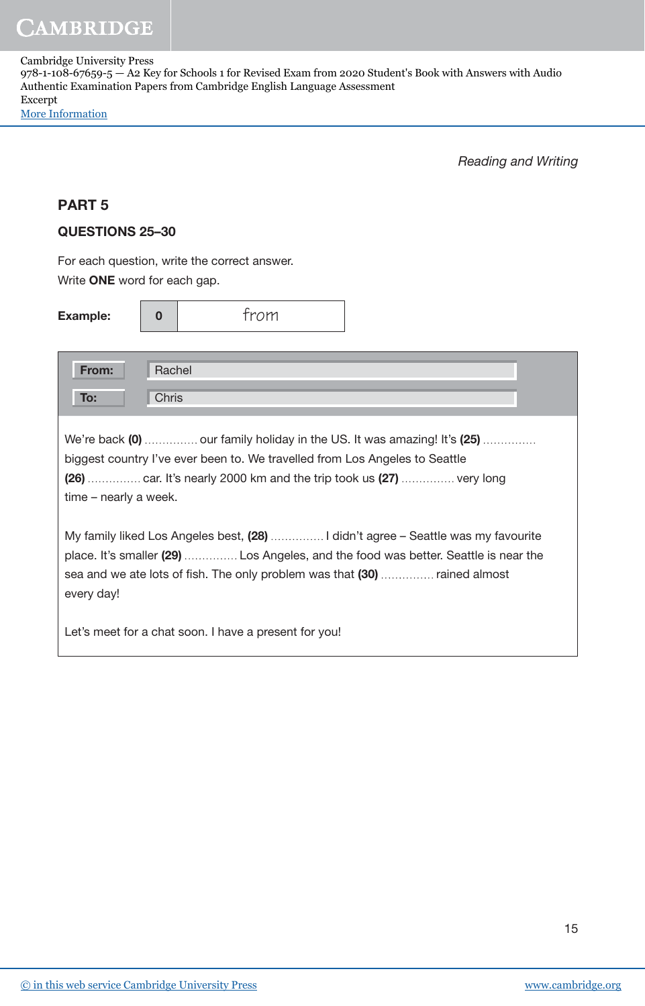Cambridge University Press 978-1-108-67659-5 — A2 Key for Schools 1 for Revised Exam from 2020 Student's Book with Answers with Audio Authentic Examination Papers from Cambridge English Language Assessment Excerpt [More Information](www.cambridge.org/9781108676595)

Reading and Writing

#### PART 5

#### QUESTIONS 25–30

For each question, write the correct answer. Write ONE word for each gap.

| <b>Example:</b>                                                                                                                                                                                                                                                      | $\bf{0}$ | trom |  |  |  |  |  |  |
|----------------------------------------------------------------------------------------------------------------------------------------------------------------------------------------------------------------------------------------------------------------------|----------|------|--|--|--|--|--|--|
| From:<br>Rachel                                                                                                                                                                                                                                                      |          |      |  |  |  |  |  |  |
| To:                                                                                                                                                                                                                                                                  | Chris    |      |  |  |  |  |  |  |
| We're back (0)  our family holiday in the US. It was amazing! It's (25)<br>biggest country I've ever been to. We travelled from Los Angeles to Seattle<br>(26)  car. It's nearly 2000 km and the trip took us (27)  very long<br>time - nearly a week.               |          |      |  |  |  |  |  |  |
| My family liked Los Angeles best, (28)  I didn't agree - Seattle was my favourite<br>place. It's smaller (29)  Los Angeles, and the food was better. Seattle is near the<br>sea and we ate lots of fish. The only problem was that (30)  rained almost<br>every day! |          |      |  |  |  |  |  |  |
| Let's meet for a chat soon. I have a present for you!                                                                                                                                                                                                                |          |      |  |  |  |  |  |  |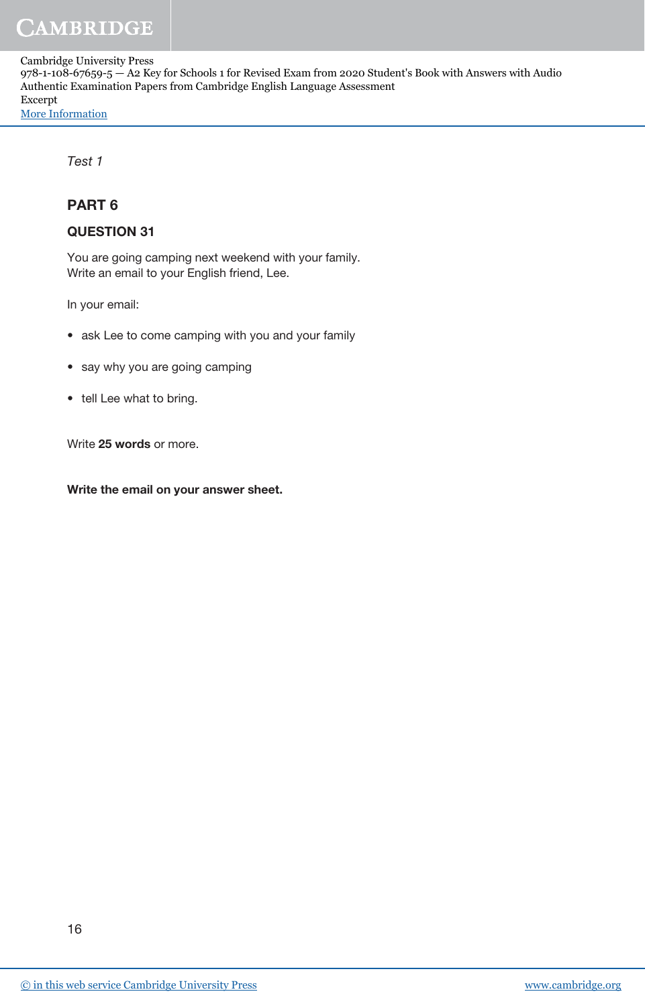Cambridge University Press 978-1-108-67659-5 — A2 Key for Schools 1 for Revised Exam from 2020 Student's Book with Answers with Audio Authentic Examination Papers from Cambridge English Language Assessment Excerpt [More Information](www.cambridge.org/9781108676595)

Test 1

#### PART 6

#### QUESTION 31

You are going camping next weekend with your family. Write an email to your English friend, Lee.

In your email:

- ask Lee to come camping with you and your family
- say why you are going camping
- tell Lee what to bring.

Write 25 words or more.

Write the email on your answer sheet.